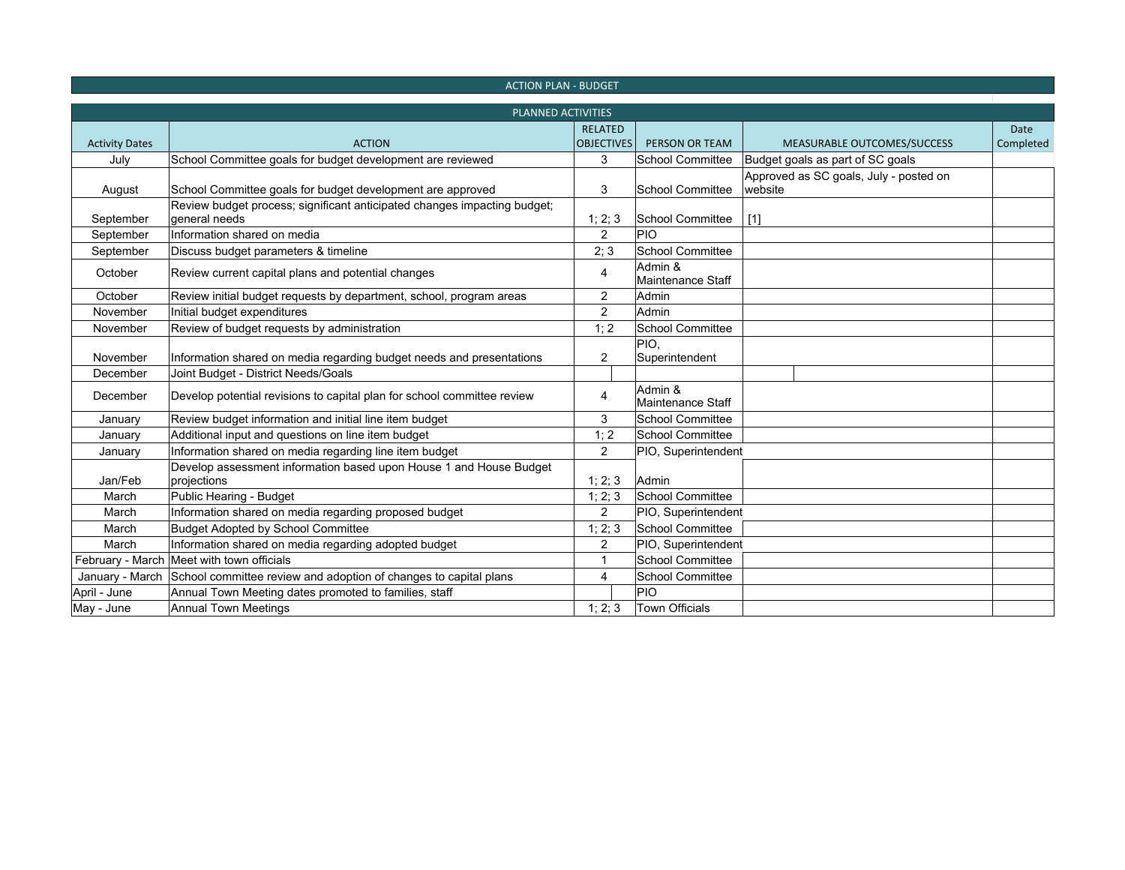| <b>ACTION PLAN - BUDGET</b> |                                                                                           |                   |                                     |                                                   |             |
|-----------------------------|-------------------------------------------------------------------------------------------|-------------------|-------------------------------------|---------------------------------------------------|-------------|
| PLANNED ACTIVITIES          |                                                                                           |                   |                                     |                                                   |             |
|                             | <b>ACTION</b>                                                                             | <b>RELATED</b>    | PERSON OR TEAM                      |                                                   | <b>Date</b> |
| <b>Activity Dates</b>       |                                                                                           | <b>OBJECTIVES</b> |                                     | MEASURABLE OUTCOMES/SUCCESS                       | Completed   |
| July                        | School Committee goals for budget development are reviewed                                | 3                 | <b>School Committee</b>             | Budget goals as part of SC goals                  |             |
| August                      | School Committee goals for budget development are approved                                | 3                 | <b>School Committee</b>             | Approved as SC goals, July - posted on<br>website |             |
| September                   | Review budget process; significant anticipated changes impacting budget;<br>general needs | 1; 2; 3           | School Committee                    | [1]                                               |             |
| September                   | Information shared on media                                                               | $\overline{2}$    | PIO                                 |                                                   |             |
| September                   | Discuss budget parameters & timeline                                                      | 2; 3              | <b>School Committee</b>             |                                                   |             |
| October                     | Review current capital plans and potential changes                                        | 4                 | Admin &<br><b>Maintenance Staff</b> |                                                   |             |
| October                     | Review initial budget requests by department, school, program areas                       | $\overline{2}$    | Admin                               |                                                   |             |
| November                    | Initial budget expenditures                                                               | $\overline{2}$    | Admin                               |                                                   |             |
| November                    | Review of budget requests by administration                                               | 1; 2              | <b>School Committee</b>             |                                                   |             |
| November                    | Information shared on media regarding budget needs and presentations                      | 2                 | PIO,<br>Superintendent              |                                                   |             |
| December                    | Joint Budget - District Needs/Goals                                                       |                   |                                     |                                                   |             |
| December                    | Develop potential revisions to capital plan for school committee review                   | 4                 | Admin &<br>Maintenance Staff        |                                                   |             |
| January                     | Review budget information and initial line item budget                                    | 3                 | <b>School Committee</b>             |                                                   |             |
| January                     | Additional input and questions on line item budget                                        | 1; 2              | <b>School Committee</b>             |                                                   |             |
| January                     | Information shared on media regarding line item budget                                    | $\overline{2}$    | PIO, Superintendent                 |                                                   |             |
| Jan/Feb                     | Develop assessment information based upon House 1 and House Budget<br>projections         | 1; 2; 3           | Admin                               |                                                   |             |
| March                       | Public Hearing - Budget                                                                   | 1; 2; 3           | <b>School Committee</b>             |                                                   |             |
| March                       | Information shared on media regarding proposed budget                                     | $\overline{2}$    | PIO, Superintendent                 |                                                   |             |
| March                       | <b>Budget Adopted by School Committee</b>                                                 | 1; 2; 3           | <b>School Committee</b>             |                                                   |             |
| March                       | Information shared on media regarding adopted budget                                      | $\overline{2}$    | PIO, Superintendent                 |                                                   |             |
|                             | February - March Meet with town officials                                                 | 1                 | <b>School Committee</b>             |                                                   |             |
|                             | January - March School committee review and adoption of changes to capital plans          | 4                 | <b>School Committee</b>             |                                                   |             |
| April - June                | Annual Town Meeting dates promoted to families, staff                                     |                   | PIO                                 |                                                   |             |
| May - June                  | Annual Town Meetings                                                                      | 1; 2; 3           | <b>Town Officials</b>               |                                                   |             |